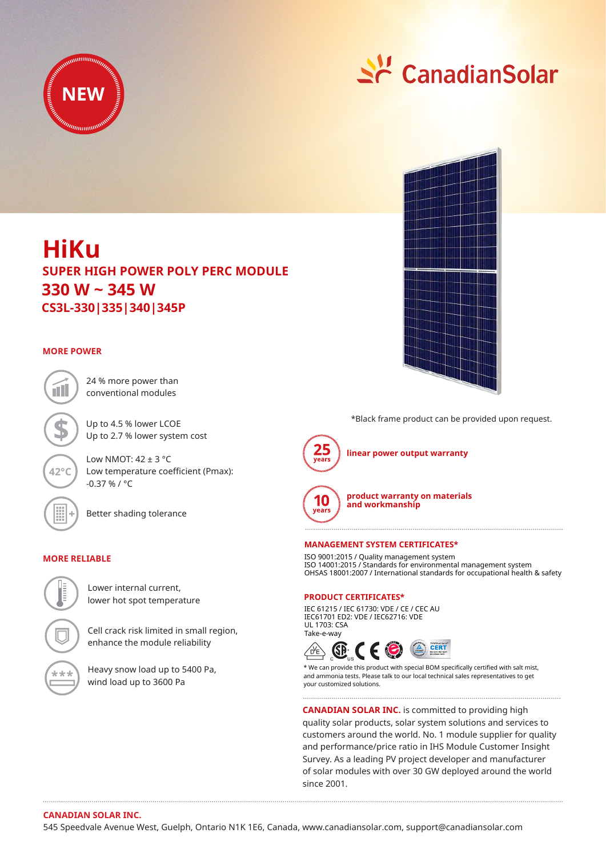



# **HiKu CS3L-330|335|340|345P SUPER HIGH POWER POLY PERC MODULE 330 W ~ 345 W**

## **MORE POWER**



24 % more power than conventional modules

Up to 4.5 % lower LCOE Up to 2.7 % lower system cost

Low NMOT:  $42 \pm 3$  °C Low temperature coefficient (Pmax): -0.37 % / °C

Better shading tolerance

## **MORE RELIABLE**



Lower internal current, lower hot spot temperature

Cell crack risk limited in small region, enhance the module reliability

Heavy snow load up to 5400 Pa, wind load up to 3600 Pa



\*Black frame product can be provided upon request.



**linear power output warranty**



**product warranty on materials and workmanship**

### **MANAGEMENT SYSTEM CERTIFICATES\***

ISO 9001:2015 / Quality management system ISO 14001:2015 / Standards for environmental management system OHSAS 18001:2007 / International standards for occupational health & safety

#### **PRODUCT CERTIFICATES\***

IEC 61215 / IEC 61730: VDE / CE / CEC AU IEC61701 ED2: VDE / IEC62716: VDE UL 1703: CSA Take-e-way



\* We can provide this product with special BOM specifically certified with salt mist, and ammonia tests. Please talk to our local technical sales representatives to get your customized solutions.

**CANADIAN SOLAR INC.** is committed to providing high

quality solar products, solar system solutions and services to customers around the world. No. 1 module supplier for quality and performance/price ratio in IHS Module Customer Insight Survey. As a leading PV project developer and manufacturer of solar modules with over 30 GW deployed around the world since 2001.

## **CANADIAN SOLAR INC.**

545 Speedvale Avenue West, Guelph, Ontario N1K 1E6, Canada, www.canadiansolar.com, support@canadiansolar.com